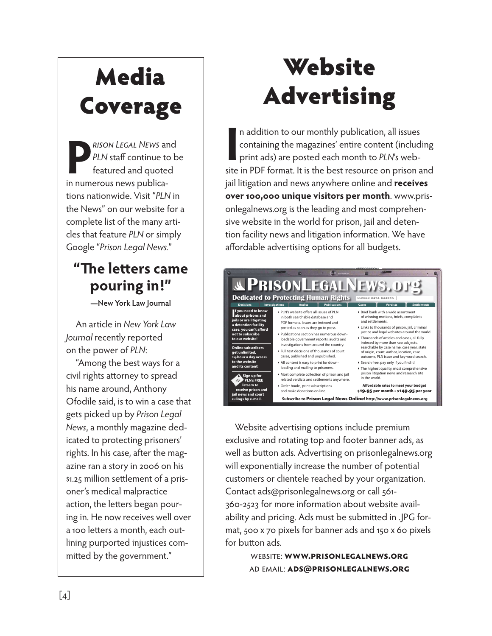## Media Coverage

**PLN** sta continue to k<br>featured and quoted<br>in numerous news publica. PLN sta continue to be featured and quoted in numerous news publications nationwide. Visit PLN in the News on our website for a complete list of the many articles that feature PLN or simply Google Prison Legal News.

## **e** le ers came **pouring in!**

**New York Law Journal**

An article in New York Law Journal recently reported on the power of PLN:

Among the best ways for a civil rights a orney to spread his name around, Anthony Ofodile said, is to win a case that gets picked up by Prison Legal News, a monthly magazine dedicated to protecting prisoners rights. In his case,  $a$  er the magazine ran a story in on his million sellement of a prisoners medical malpractice action, the leers began pouring in. He now receives well over a leers a month, each outlining purported injustices commied by the government.

## Website Advertising

In addition to our monthly publication, all issues<br>
containing the magazines entire content (including<br>
print ads) are posted each month to PLNs web-<br>
site in PDF format. It is the best resource on prison and n addition to our monthly publication, all issues containing the magazines entire content (including print ads) are posted each month to PLNs webjail litigation and news anywhere online and **receives over , unique visitors per month**. www.prisonlegalnews.org is the leading and most comprehensive website in the world for prison, jail and detention facility news and litigation information. We have a ordable advertising options for all budgets.



Website advertising options include premium exclusive and rotating top and footer banner ads, as well as bu on ads. Advertising on prisonlegalnews.org will exponentially increase the number of potential customers or clientele reached by your organization. Contact ads@prisonlegalnews.org or call

for more information about website availability and pricing. Ads must be submied in .JPG format, x pixels for banner ads and x pixels for bu on ads.

> : **..** : **@.**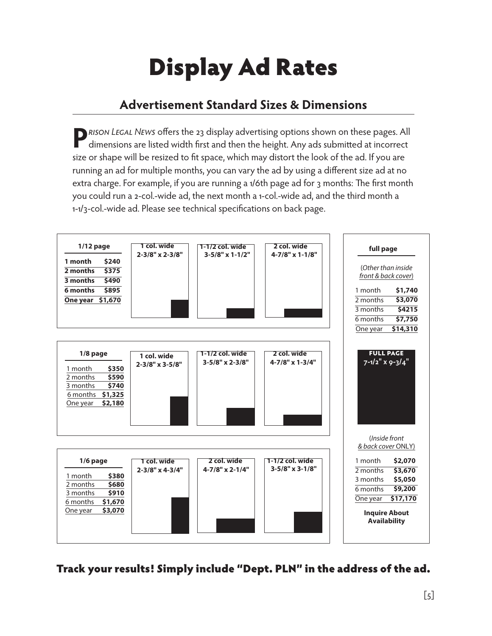# Display Ad Rates

## **Advertisement Standard Sizes & Dimensions**

**P***rison Legal News* offers the 23 display advertising options shown on these pages. All dimensions are listed width first and then the height. Any ads submitted at incorrect size or shape will be resized to fit space, which may distort the look of the ad. If you are running an ad for multiple months, you can vary the ad by using a different size ad at no extra charge. For example, if you are running a 1/6th page ad for 3 months: The first month you could run a 2-col.-wide ad, the next month a 1-col.-wide ad, and the third month a 1-1/3-col.-wide ad. Please see technical specifications on back page.



Track your results! Simply include "Dept. PLN" in the address of the ad.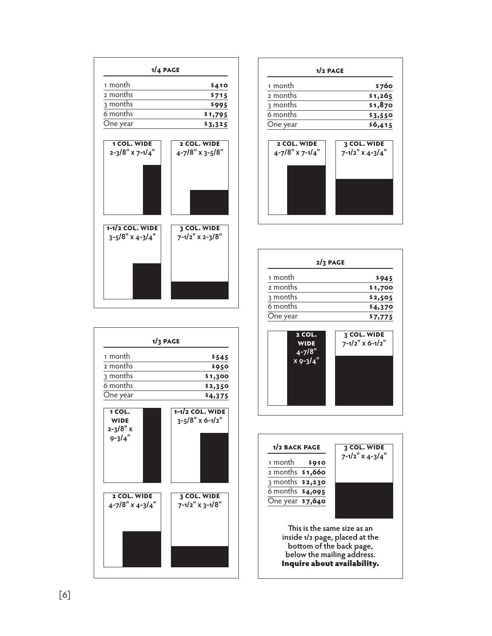| 1 month                            | \$510                          |
|------------------------------------|--------------------------------|
| 2 months                           | \$895                          |
| 3 months                           | \$1,245                        |
| 6 months                           | \$2,245                        |
| One year                           | \$4,140                        |
| 1 col. wide                        | 2 col. wide                    |
| 2-3/8" x 7-1/4"                    | 4-7/8" x 3-5/8"                |
|                                    |                                |
| 1-1/2 col. wide<br>3-5/8" x 4-3/4" | 3 col. wide<br>7-1/2" x 2-3/8" |
|                                    |                                |
|                                    |                                |
|                                    |                                |



| $2/3$ page |         |  |
|------------|---------|--|
| 1 month    | \$1,180 |  |
| 2 months   | \$2,125 |  |
| 3 months   | \$3,130 |  |
| 6 months   | \$5,465 |  |
| One year   | \$9,720 |  |





| $1/3$ page                                   |                                               |  |
|----------------------------------------------|-----------------------------------------------|--|
| 1 month                                      | \$680                                         |  |
| 2 months                                     | \$1,190                                       |  |
| 3 months                                     | \$1,625                                       |  |
| 6 months                                     | \$2,940                                       |  |
| One year                                     | \$5,470                                       |  |
| 1 col.<br>wide<br>$2 - 3/8" x$<br>$9 - 3/4"$ | 1-1/2 col. wide<br>$3 - 5/8" \times 6 - 1/2"$ |  |
| 2 col. wide<br>4-7/8" x 4-3/4"               | 3 col. wide<br>7-1/2" x 3-1/8"                |  |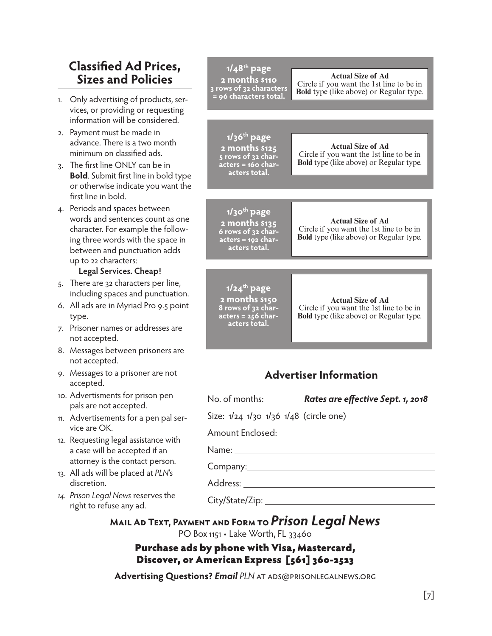## **Classified Ad Prices, Sizes and Policies**

- 1. Only advertising of products, services, or providing or requesting information will be considered.
- 2. Payment must be made in advance. There is a two month minimum on classified ads.
- 3. The first line ONLY can be in **Bold**. Submit first line in bold type or otherwise indicate you want the first line in bold.
- 4. Periods and spaces between words and sentences count as one character. For example the following three words with the space in between and punctuation adds up to 22 characters:

#### **Legal Services. Cheap!**

- 5. There are 32 characters per line, including spaces and punctuation.
- 6. All ads are in Myriad Pro 9.5 point type.
- 7. Prisoner names or addresses are not accepted.
- 8. Messages between prisoners are not accepted.
- 9. Messages to a prisoner are not accepted.
- 10. Advertisments for prison pen pals are not accepted.
- 11. Advertisements for a pen pal service are OK.
- 12. Requesting legal assistance with a case will be accepted if an attorney is the contact person.
- 13. All ads will be placed at *PLN*'s discretion.
- *14. Prison Legal News* reserves the right to refuse any ad.

| ed Ad Prices,<br>and Policies                                                                                                            | $1/48$ <sup>th</sup> page<br>2 months \$220<br>3 rows of 32                                            | <b>Actual Size of Ad</b><br>Circle if you want the 1st line to be in                                                   |  |
|------------------------------------------------------------------------------------------------------------------------------------------|--------------------------------------------------------------------------------------------------------|------------------------------------------------------------------------------------------------------------------------|--|
| tising of products, ser-                                                                                                                 | characters = 96<br>characters total.                                                                   | <b>Bold</b> type (like above) or Regular type.                                                                         |  |
| oviding or requesting                                                                                                                    |                                                                                                        |                                                                                                                        |  |
| will be considered.                                                                                                                      |                                                                                                        |                                                                                                                        |  |
| ust be made in<br>nere is a two month<br>n classified ads.<br>e ONLY can be in<br>nit first line in bold type<br>e indicate you want the | $1/36th$ page<br>2 months \$250<br>5 rows of 32<br>characters = 160<br>characters total.               | <b>Actual Size of Ad</b><br>Circle if you want the 1st line to be in<br><b>Bold</b> type (like above) or Regular type. |  |
| bold.                                                                                                                                    |                                                                                                        |                                                                                                                        |  |
| d spaces between<br>sentences count as one<br>or example the follow-<br>ords with the space in<br>nd punctuation adds<br>aracters:       | $1/30$ <sup>th</sup> page<br>2 months \$270<br>$6$ rows of 32<br>characters = 192<br>characters total. | <b>Actual Size of Ad</b><br>Circle if you want the 1st line to be in<br><b>Bold</b> type (like above) or Regular type. |  |
| rvices. Cheap!                                                                                                                           |                                                                                                        |                                                                                                                        |  |
| 2 characters per line,<br>baces and punctuation.<br>in Myriad Pro 9.5 point<br>mes or addresses are<br>ed.                               | $1/24$ <sup>th</sup> page<br>2 months \$300<br>8 rows of 32<br>characters = 256<br>characters total.   | <b>Actual Size of Ad</b><br>Circle if you want the 1st line to be in<br><b>Bold</b> type (like above) or Regular type. |  |
| etween prisoners are<br>ed.                                                                                                              |                                                                                                        |                                                                                                                        |  |
| p a prisoner are not                                                                                                                     |                                                                                                        | <b>Advertiser Information</b>                                                                                          |  |
| nts for prison pen<br>t accepted.                                                                                                        | No. of months: $\_\_$                                                                                  | Rates are effective Sept. 1, 2018                                                                                      |  |
| ents for a pen pal ser-                                                                                                                  | Size: 1/24 1/30 1/36 1/48 (circle one)                                                                 |                                                                                                                        |  |
| legal assistance with                                                                                                                    |                                                                                                        |                                                                                                                        |  |
| be accepted if an                                                                                                                        |                                                                                                        |                                                                                                                        |  |
| the contact person.<br>be placed at PLN's                                                                                                |                                                                                                        |                                                                                                                        |  |
|                                                                                                                                          |                                                                                                        |                                                                                                                        |  |
| <i>l</i> News reserves the<br>use any ad.                                                                                                |                                                                                                        |                                                                                                                        |  |
| MAIL AD TEXT, PAYMENT AND FORM TO Prison Legal News                                                                                      | PO Box 1151 • Lake Worth, FL 33460                                                                     |                                                                                                                        |  |

### Purchase ads by phone with Visa, Mastercard, Discover, or American Express [561] 360-2523

**Advertising Questions?** *Email PLN* at ads@prisonlegalnews.org